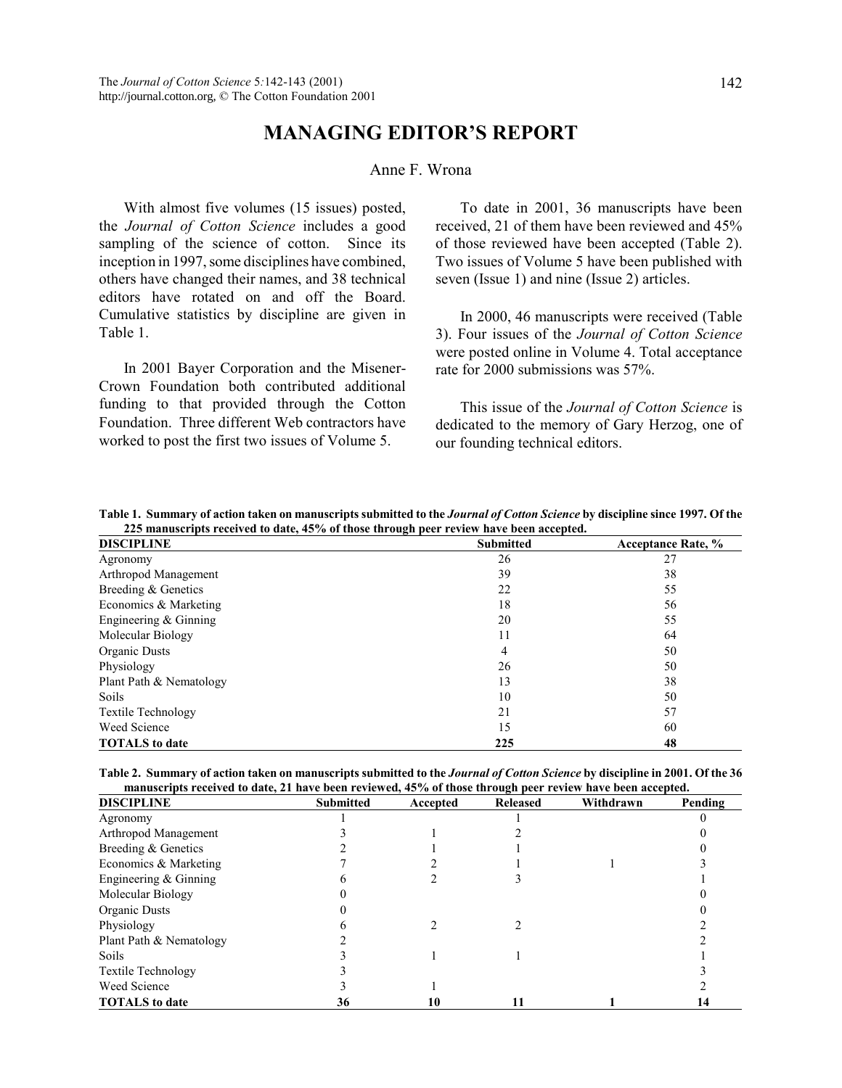## **MANAGING EDITORíS REPORT**

## Anne F. Wrona

With almost five volumes (15 issues) posted, the *Journal of Cotton Science* includes a good sampling of the science of cotton. Since its inception in 1997, some disciplines have combined, others have changed their names, and 38 technical editors have rotated on and off the Board. Cumulative statistics by discipline are given in Table 1.

In 2001 Bayer Corporation and the Misener-Crown Foundation both contributed additional funding to that provided through the Cotton Foundation. Three different Web contractors have worked to post the first two issues of Volume 5.

To date in 2001, 36 manuscripts have been received, 21 of them have been reviewed and 45% of those reviewed have been accepted (Table 2). Two issues of Volume 5 have been published with seven (Issue 1) and nine (Issue 2) articles.

In 2000, 46 manuscripts were received (Table 3). Four issues of the *Journal of Cotton Science* were posted online in Volume 4. Total acceptance rate for 2000 submissions was 57%.

This issue of the *Journal of Cotton Science* is dedicated to the memory of Gary Herzog, one of our founding technical editors.

| Table 1. Summary of action taken on manuscripts submitted to the Journal of Cotton Science by discipline since 1997. Of the |  |
|-----------------------------------------------------------------------------------------------------------------------------|--|
| 225 manuscripts received to date, 45% of those through peer review have been accepted.                                      |  |

| <b>DISCIPLINE</b>         | <b>Submitted</b> | <b>Acceptance Rate, %</b> |
|---------------------------|------------------|---------------------------|
| Agronomy                  | 26               | 27                        |
| Arthropod Management      | 39               | 38                        |
| Breeding & Genetics       | 22               | 55                        |
| Economics & Marketing     | 18               | 56                        |
| Engineering $&$ Ginning   | 20               | 55                        |
| Molecular Biology         | 11               | 64                        |
| Organic Dusts             | 4                | 50                        |
| Physiology                | 26               | 50                        |
| Plant Path & Nematology   | 13               | 38                        |
| Soils.                    | 10               | 50                        |
| <b>Textile Technology</b> | 21               | 57                        |
| Weed Science              | 15               | 60                        |
| <b>TOTALS</b> to date     | 225              | 48                        |

**Table 2. Summary of action taken on manuscripts submitted to the** *Journal of Cotton Science* **by discipline in 2001. Of the 36 manuscripts received to date, 21 have been reviewed, 45% of those through peer review have been accepted.**

| <b>DISCIPLINE</b>         | <b>Submitted</b> | Accepted | <b>Released</b> | Withdrawn | Pending |
|---------------------------|------------------|----------|-----------------|-----------|---------|
| Agronomy                  |                  |          |                 |           |         |
| Arthropod Management      |                  |          |                 |           |         |
| Breeding & Genetics       |                  |          |                 |           |         |
| Economics & Marketing     |                  |          |                 |           |         |
| Engineering $&$ Ginning   |                  |          |                 |           |         |
| Molecular Biology         |                  |          |                 |           |         |
| Organic Dusts             |                  |          |                 |           |         |
| Physiology                |                  |          |                 |           |         |
| Plant Path & Nematology   |                  |          |                 |           |         |
| <b>Soils</b>              |                  |          |                 |           |         |
| <b>Textile Technology</b> |                  |          |                 |           |         |
| Weed Science              |                  |          |                 |           |         |
| <b>TOTALS</b> to date     | 36               | 10       |                 |           | 14      |